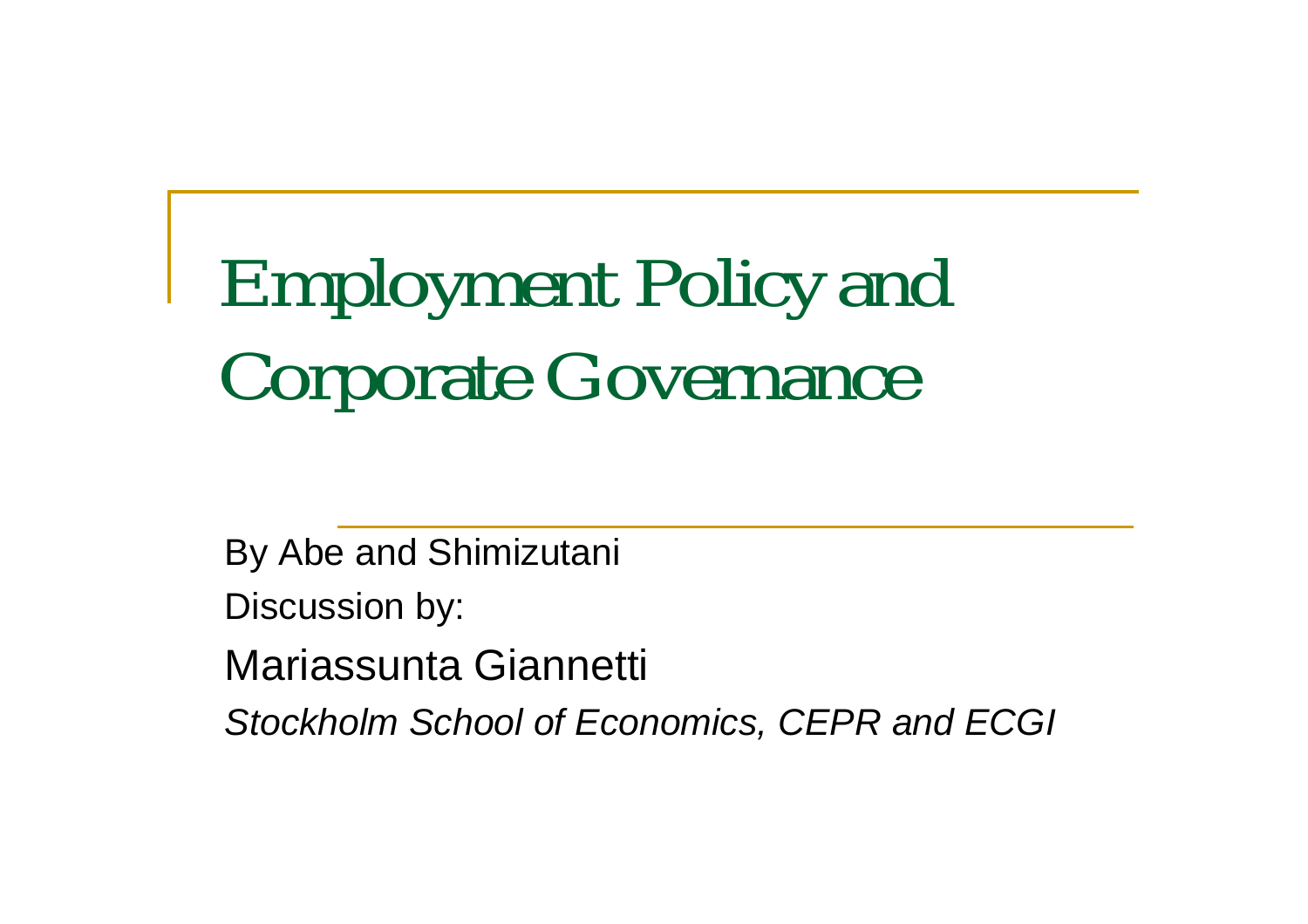# Employment Policy and Corporate Governance

By Abe and Shimizutani

Discussion by:

Mariassunta Giannetti

*Stockholm School of Economics, CEPR and ECGI*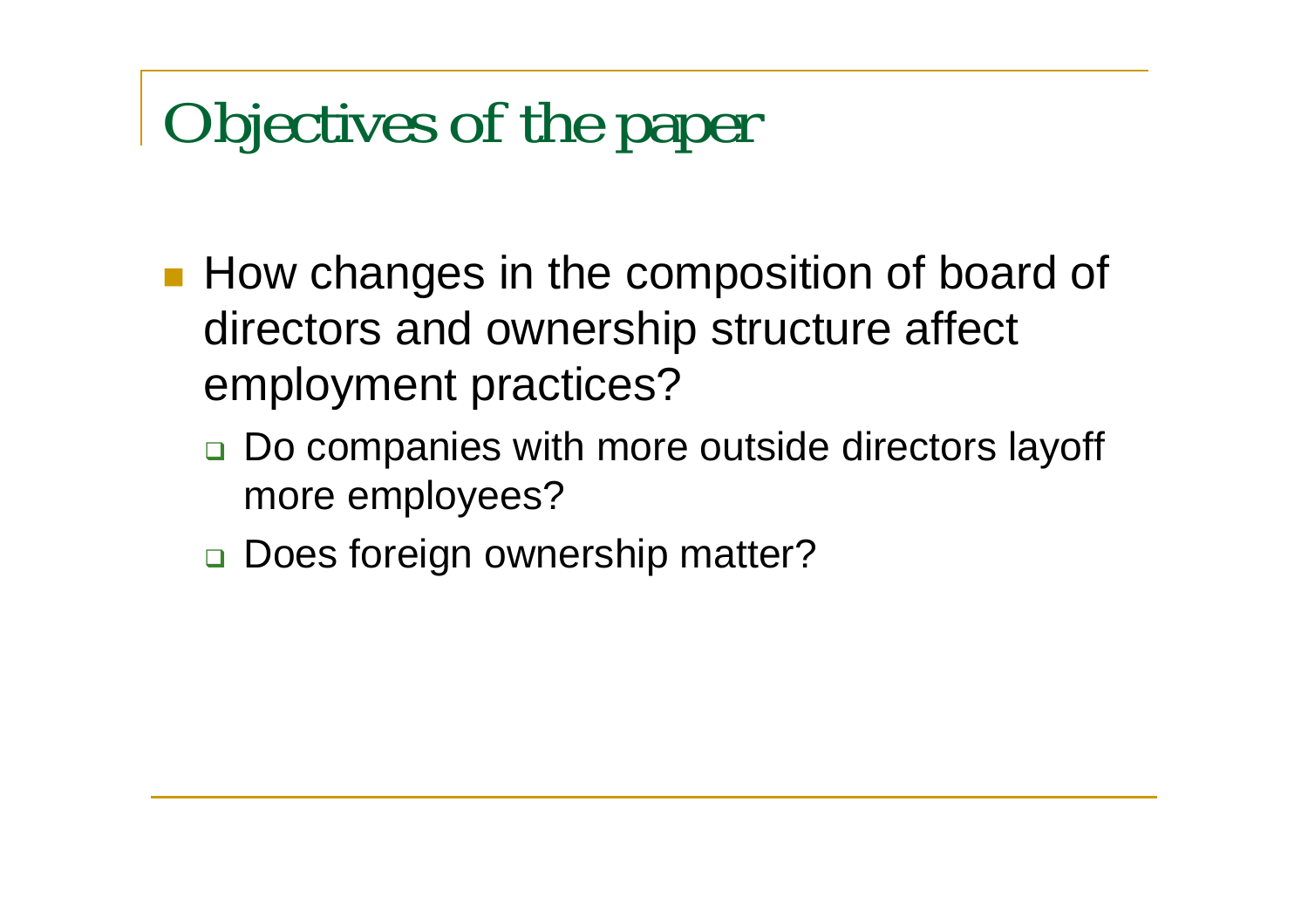## Objectives of the paper

- **How changes in the composition of board of** directors and ownership structure affect employment practices?
	- □ Do companies with more outside directors layoff more employees?
	- □ Does foreign ownership matter?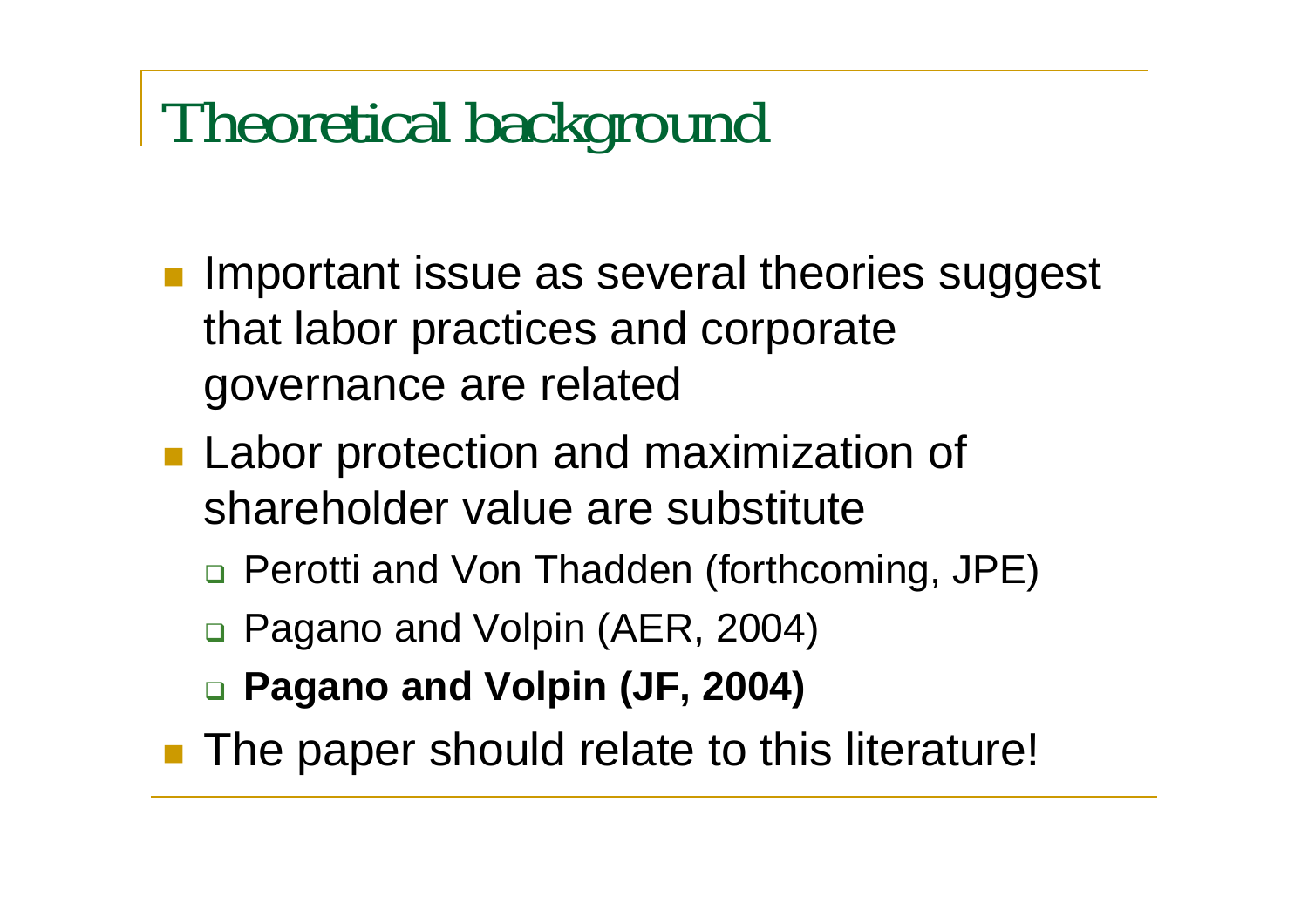#### Theoretical background

- Important issue as several theories suggest that labor practices and corporate governance are related
- **Labor protection and maximization of** shareholder value are substitute
	- Perotti and Von Thadden (forthcoming, JPE)
	- Pagano and Volpin (AER, 2004)
	- **Pagano and Volpin (JF, 2004)**
- **The paper should relate to this literature!**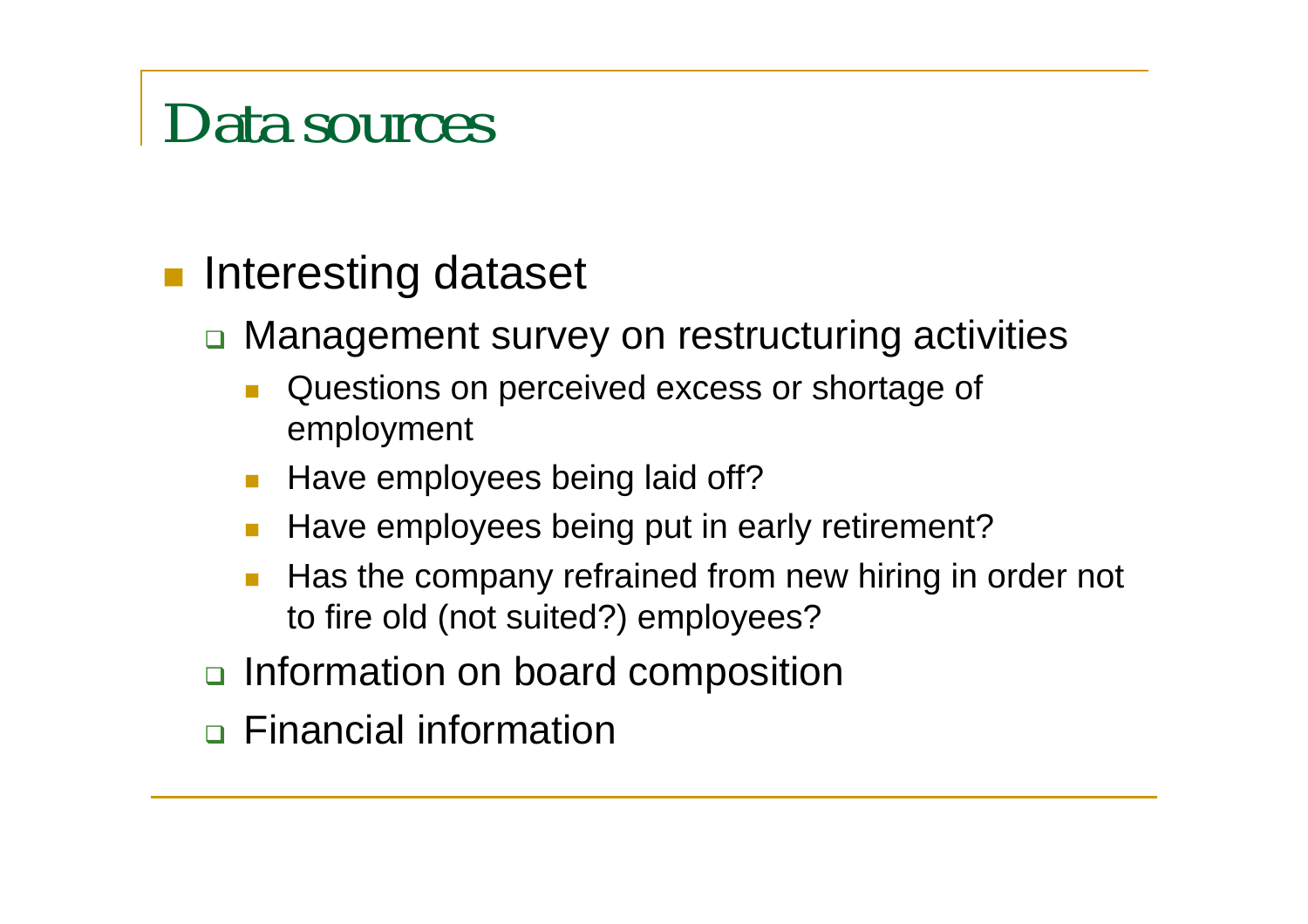#### Data sources

#### Interesting dataset

□ Management survey on restructuring activities

- $\Box$  Questions on perceived excess or shortage of employment
- $\Box$ Have employees being laid off?
- Have employees being put in early retirement?
- $\Box$  Has the company refrained from new hiring in order not to fire old (not suited?) employees?
- □ Information on board composition
- Financial information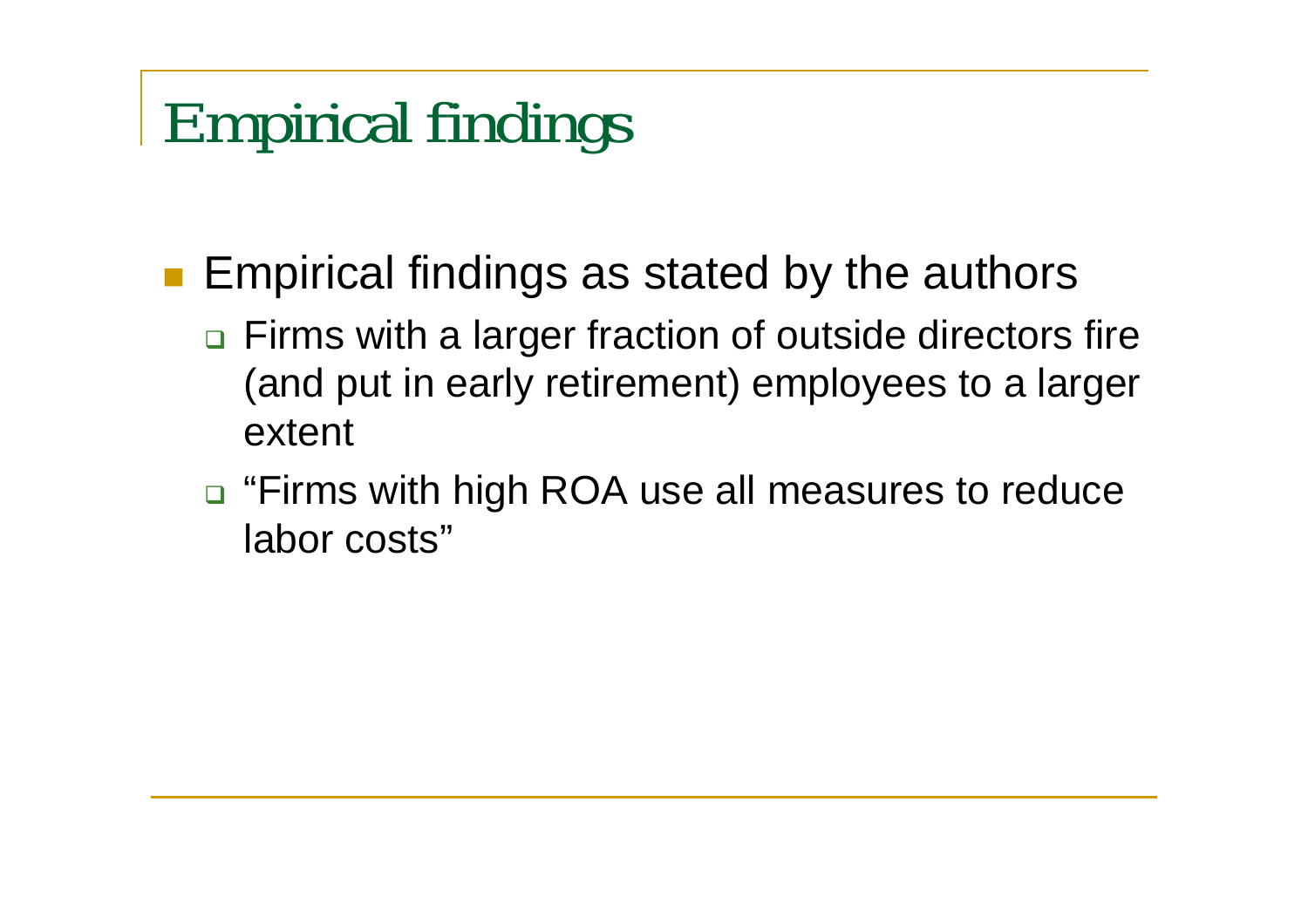### Empirical findings

- **Empirical findings as stated by the authors** 
	- □ Firms with a larger fraction of outside directors fire (and put in early retirement) employees to a larger extent
	- □ "Firms with high ROA use all measures to reduce labor costs"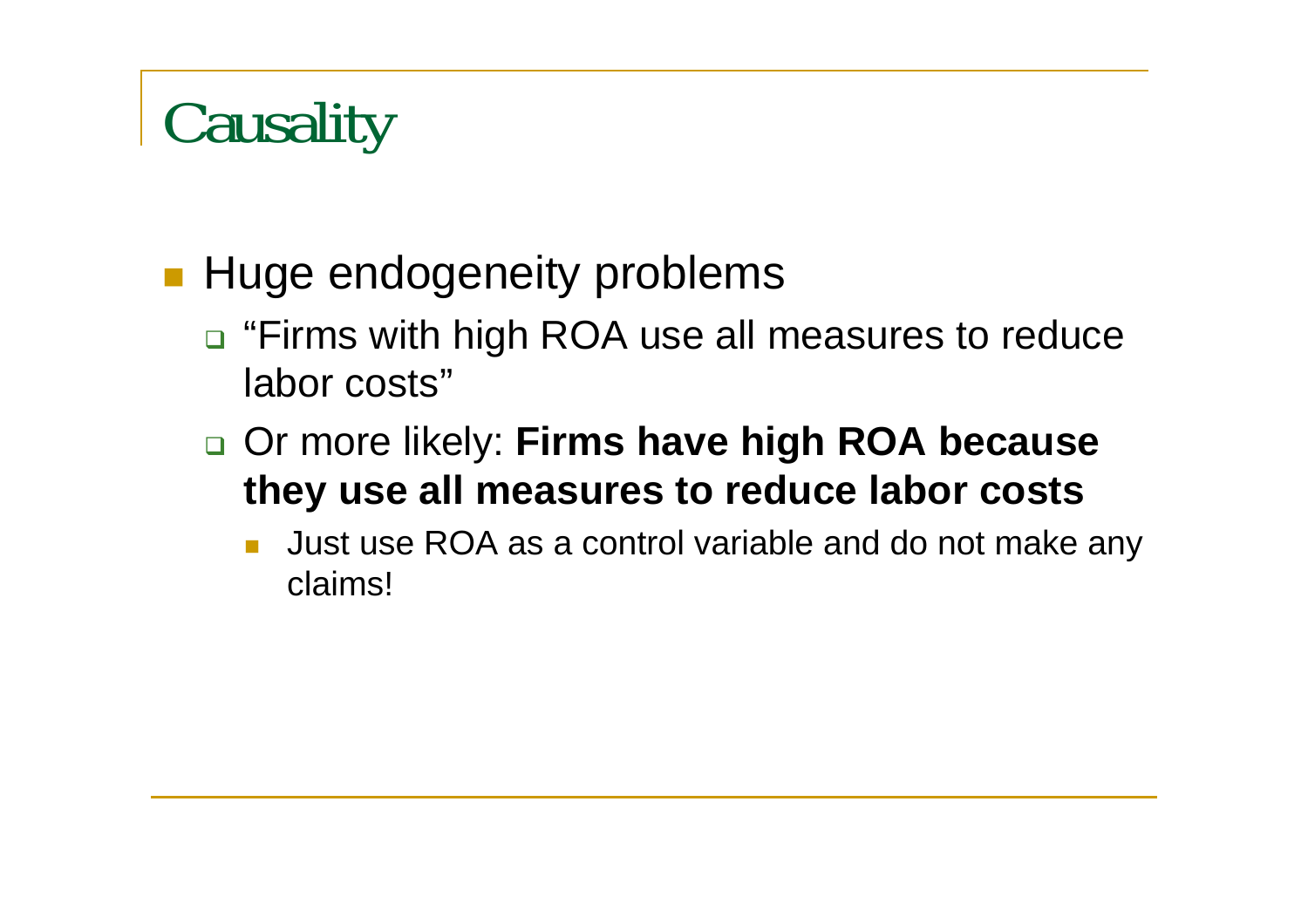#### **Causality**

#### Huge endogeneity problems

- □ "Firms with high ROA use all measures to reduce labor costs"
- Or more likely: **Firms have high ROA because they use all measures to reduce labor costs**
	- $\Box$  Just use ROA as a control variable and do not make any claims!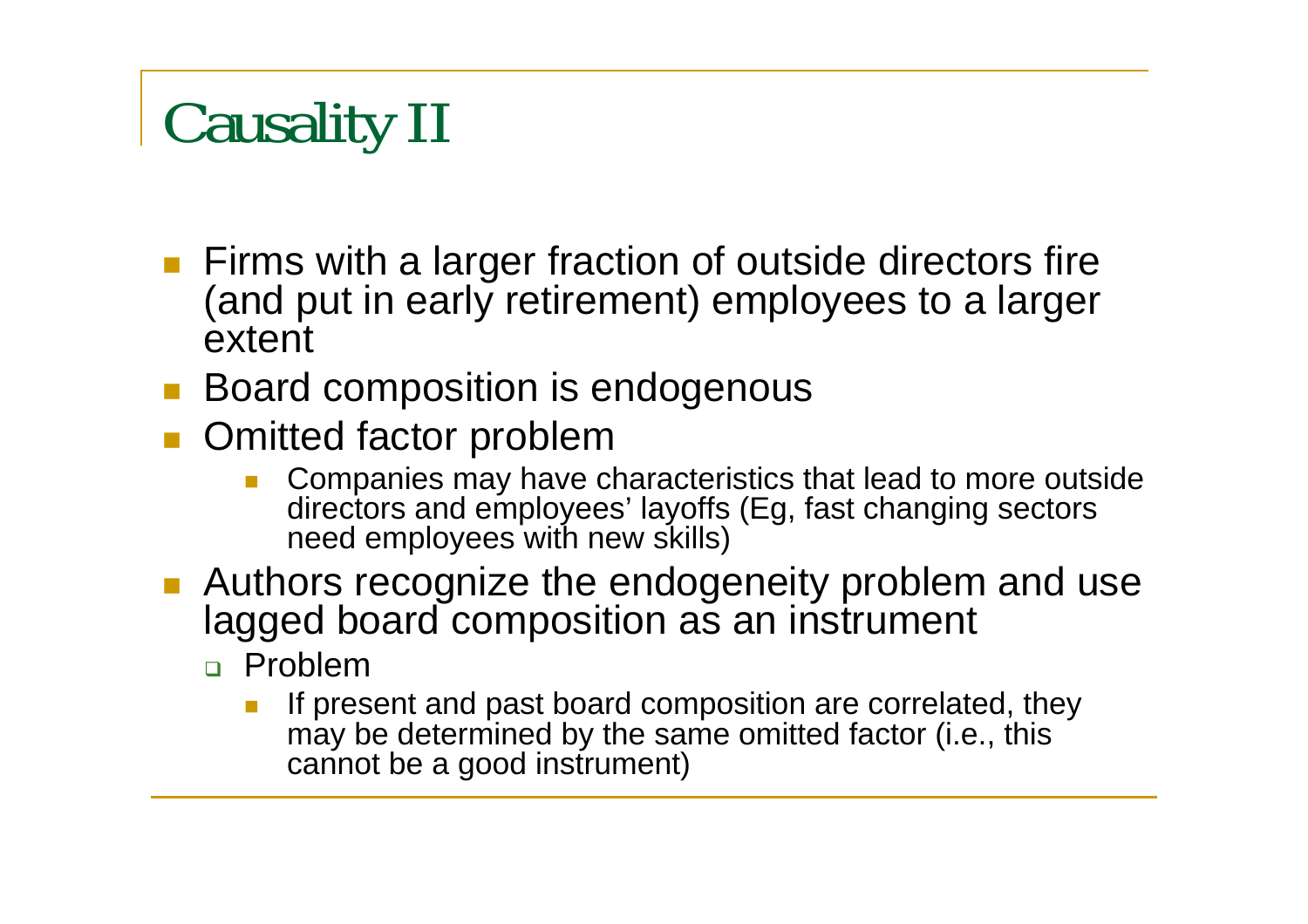## Causality II

- **Firms with a larger fraction of outside directors fire** (and put in early retirement) employees to a larger extent
- **Board composition is endogenous**
- **Omitted factor problem** 
	- Companies may have characteristics that lead to more outside directors and employees' layoffs (Eg, fast changing sectors need employees with new skills)
- **Authors recognize the endogeneity problem and use** lagged board composition as an instrument
	- Problem
		- F If present and past board composition are correlated, they may be determined by the same omitted factor (i.e., this cannot be a good instrument)